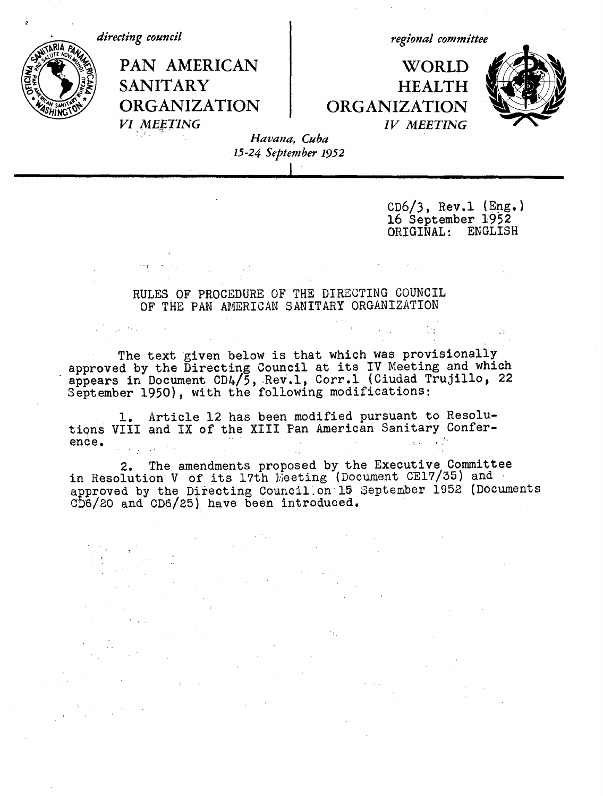

 $CD6/3$ , Rev.1 (Eng.) 16 September 1952 ORIGINAL: ENGLISH

#### RULES OF PROCEDURE OF THE DIRECTING COUNCIL OF THE PAN AMERICAN SANITARY ORGANIZATION

The text given below is that which was provisionally approved by the Directing Council at its IV Meeting and which appears in Document CD4/5,.Rev.l, Corr.l (Ciudad Trujillo, 22 September 1950), with the following modifications:

1, Article 12 has been modified pursuant to Resolutions VIII and IX of the XIII Pan American Sanitary Conference.

2. The amendments proposed by the Executive Committee in Resolution V of its 17th Meeting (Document CE17/35) and approved by the Directing Council.on 15 September 1952 (Documents CD6/20 and CD6/25) have been introduced.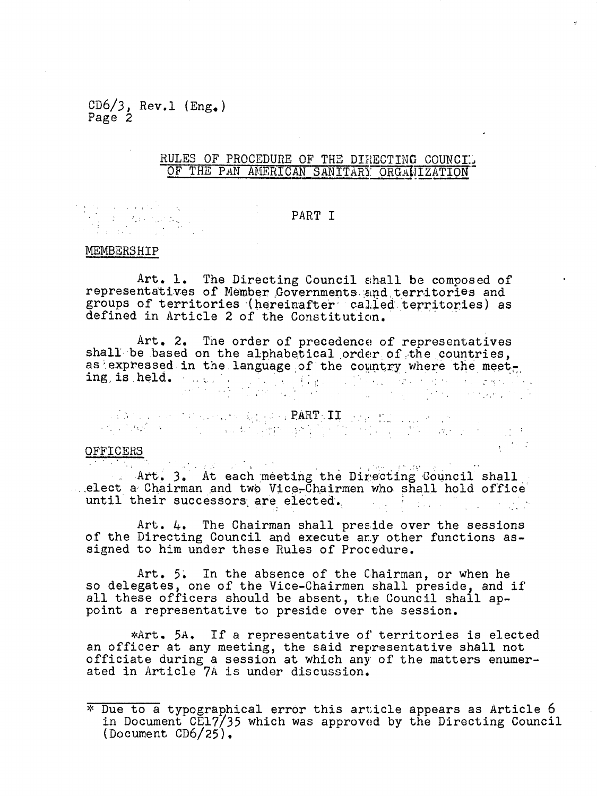$CD6/3$ , Rev.1 (Eng.) Page 2

 $\label{eq:2.1} \mathcal{L}_{\mathcal{A}} = \left\{ \mathcal{L}_{\mathcal{A}} \left( \mathcal{L}_{\mathcal{A}} \right) \mathcal{L}_{\mathcal{A}} \left( \mathcal{L}_{\mathcal{A}} \right) \right\} \mathcal{L}_{\mathcal{A}} \left( \mathcal{L}_{\mathcal{A}} \right) \mathcal{L}_{\mathcal{A}} \left( \mathcal{L}_{\mathcal{A}} \right) \mathcal{L}_{\mathcal{A}} \left( \mathcal{L}_{\mathcal{A}} \right) \mathcal{L}_{\mathcal{A}} \left( \mathcal{L}_{\mathcal{A}} \right) \mathcal{L}_{\mathcal{$ i de la familie de la familie.<br>Estatunidense de la familie de la familie de la familie de la familie de la familie de la familie de la famili

#### RULES OF PROCEDURE OF THE DIRECTING COUNCIL. OF THE PAN AMERICAN SANITARY ORGALIZATION

#### PART I

#### MEMBERSHIP

Art. 1. The Directing Council shall be composed of representatives of Member ,Governments .and terrtitories and groups of territories (hereinafter called territories) as defined in Article 2 of the Constitution.

Art. 2. The order of precedence of representatives shall be based on the alphabetical order of the countries, as expressed in the language of the country where the meeting is held. The contract of the contract of the contract of the contract of the contract of the contract of the contract of the contract of the contract of the contract of the contract of the contract of the contract of t

. PART II DE SAN TANAHAN SERIKAN KERJAHAN **PART SIL** 1999 KERJA INI DENGAN TAN.<br>PART IANG PART II DENGAN SERIKAN SERIKA PADA SERIKAN SERIKA SERIKA SERIKA SERIKA SERIKA SERIKA SERIKA SERIKA S

#### **OFFICERS**

Art. 3. At each meeting the Directing Council shall -elect a Chairman and two Vice-Chairmen who shall hold office until their successors are eiected..

 $\frac{1}{2}$  ,  $\frac{1}{2}$  ,  $\frac{1}{2}$  ,  $\frac{1}{2}$ 

Art. 4. The Chairman shall preside over the sessions of the Directing Council and execute any other functions assigned to him under these Rules of Procedure.

Art. 5. In the absence of the Chairman, or when he so delegates, one of the Vice-Chairmen shall preside, and if all these officers should be absent, the Council shall appoint a representative to preside over the session.

\*xArt. 5A. If a representative of territories is elected an officer at any meeting, the said representative shall not officiate during a session at which any of the matters enumerated in Article 7A is under discussion.

Due to a typographical error this article appears as Article 6 in Document CE17/35 which was approved by the Directing Council (Document CD6/25).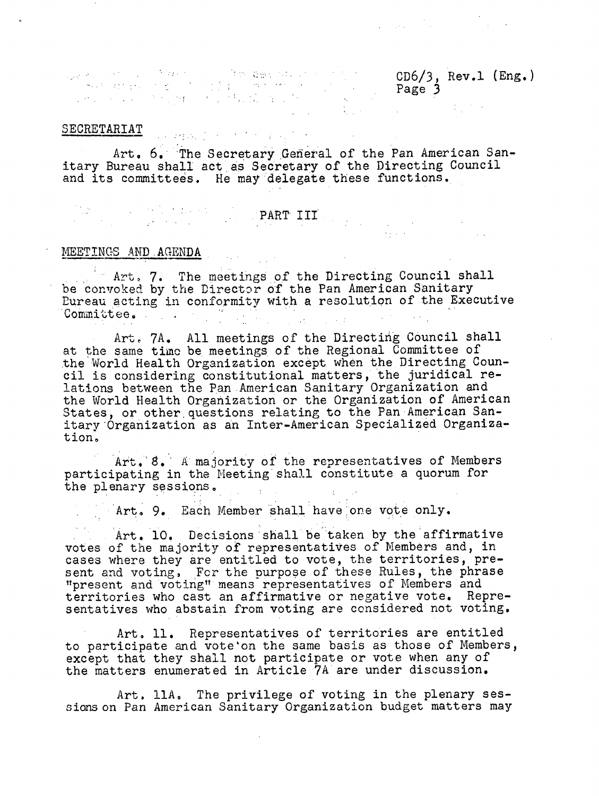CD6/3, Rev.l (Eng.)<br>Page 3

 $\label{eq:2.1} \frac{1}{2} \int_{\mathbb{R}^3} \frac{1}{\sqrt{2}} \, \frac{1}{\sqrt{2}} \, \frac{1}{\sqrt{2}} \, \frac{1}{\sqrt{2}} \, \frac{1}{\sqrt{2}} \, \frac{1}{\sqrt{2}} \, \frac{1}{\sqrt{2}} \, \frac{1}{\sqrt{2}} \, \frac{1}{\sqrt{2}} \, \frac{1}{\sqrt{2}} \, \frac{1}{\sqrt{2}} \, \frac{1}{\sqrt{2}} \, \frac{1}{\sqrt{2}} \, \frac{1}{\sqrt{2}} \, \frac{1}{\sqrt{2}} \, \frac{1}{\sqrt{2}} \,$ 

### SECRETARIAT CONSTRUCTION CONTRACTOR

Art. 6. The Secretary General of the Pan American Sanitary Bureau shall act as Secretary of the Directing Council and its committees. He may delegate these functions.

. The set of the state of the set of  $\mathbf{PART\_III}$  ,  $\mathbf{I}$ 

### MEETINGS AND AGENDA

Art, 7. The meetings of the Directing Council shall be convoked by the Director of the Pan American Sanitary Dureau acting in conformity with a resolution of the Executive Committee.

Art, 7A. All meetings of the Directing Council shall at the same time be meetings of the Regional Committee of the World Health Organization except when the Directing Council is considering constitutional matters, the juridical relations between the Pan American Sanitary Organization and the World Health Organization or the Organization of American States, or other questions relating to the Pan American Sanitary Organization as an Inter-American Specialized Organization.

Art. 8. A majority of the representatives of Members participating in the Meeting'shall constitute a quorum for the plenary sessions.  $\mathbf{1}^{(n)}$  and

Art. 9. Each Member shall have one vote only.

Art. 10. Decisions shall be taken by the affirmative votes of the majority of representatives of Members and, in cases where they are entitled to vote, the territories, present and voting, Fcr the purpose of these Rules, the phrase "present and voting" means representatives of Members and territories who cast an affirmative or negative vote. Representatives who abstain from voting are considered not voting.

Art. 11. Representatives of territories are entitled to participate and vote'on the same basis as those of Members, except that they shall not participate or vote when any of the matters enumerated in Article 7A are under discussion.

Art. llA, The privilege of voting in the plenary sessions on Pan American Sanitary Organization budget matters may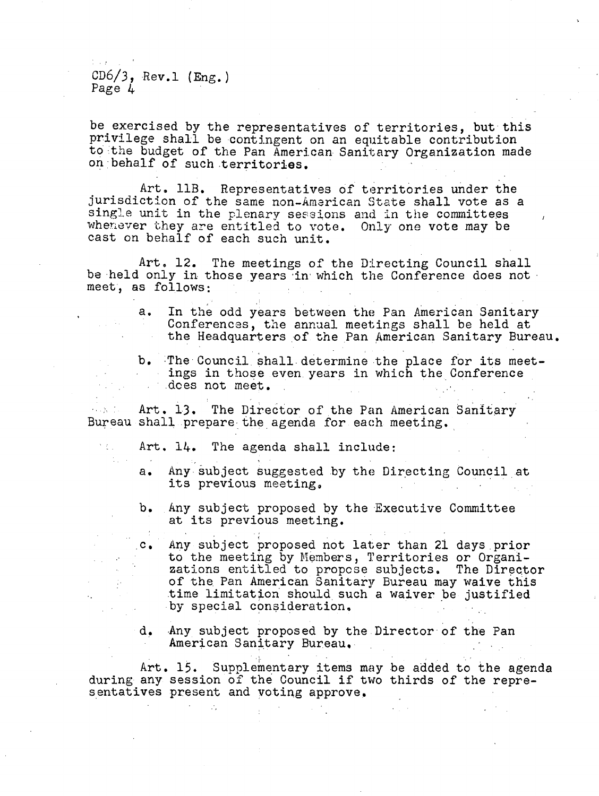$CD6/3$ , Rev.1 (Eng.) Page 4

 $\Sigma_{\rm{kin}}$  $\Delta\chi$  ,  $\Delta\chi$ 

be exercised by the representatives of territories, but this privilege shall be contingent on an equitable contribution to the budget of the Pan American Sanitary Organization made on behalf of such territories.

Art. 11B. Representatives of territories under the jurisdiction of the same non-American State shall vote as a single unit in the plenary sessions and in the committees whenever they are entitled to vote. Only one vote may be cast on behalf of each such unit.

Art. 12. The meetings of the Directing Council shall be held only in those years in which the Conference does not meet, as follows:

- a. In the odd years between the Pan American Sanitary Conferences, the annual meetings shall be held at the Headquarters of the Pan American Sanitary Bureau.
- b. The Council shall determine the place for its meetings in those even years in which the Conference does not meet.

Art. 13. The Director of the Pan American Sanitary Bureau shall prepare the agenda for each meeting.

- Art. 14. The agenda shall include:
	- a. Any subject suggested by the Directing Council at its previous meeting,
	- b. Any subject proposed by the Executive Committee at its previous meeting.
- c. Any subject proposed not later than 21 days prior to the meeting by Members, Territories or Organizations entitled to propose subjects. The Director of the Pan American Sanitary Bureau may waive this time limitation should such a waiver be justified by special consideration.
- d. Any subject proposed by the Director-of the Pan American Sanitary Bureau,

Art. 15. Supplementary items may be added to the agenda during any session of the Council if two thirds of the representatives present and voting approve.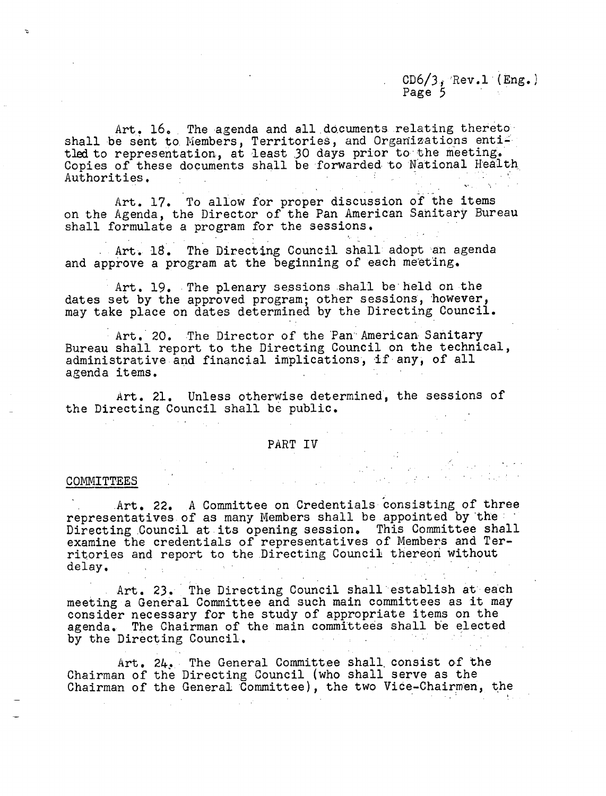#### $CD6/3$ , Rev.l (Eng.) Page 5

Art. 16. The agenda and all documents relating thereto shall be sent to Members, Territories, and Organizations entitled to representation, at least 30 days prior to the meeting. Copies of these documents shall be forwarded to National Health Authorities.

Art. 17. To allow for proper discussion of the items on the Agenda, the Director of the Pan American Sanitary Bureau shall formulate a program for the sessions.

Art. 18. The Directing Council shall adopt an agenda and approve a program at the beginning of each meeting.

Art. 19. The plenary sessions shall be held on the dates set by the approved program; other sessions, however, may take place on dates determined by the Directing Council.

Art. 20. The Director of the Pan American Sanitary Bureau shall report to the Directing Council on the technical, administrative and financial implications, if any, of all agenda items.

Art. 21. Unless otherwise determined, the sessions of the Directing Council shall be public.

### PART IV

 $\label{eq:2.1} \mathcal{L}(\mathcal{L}^{\text{max}}_{\mathcal{L}}(\mathcal{L}^{\text{max}}_{\mathcal{L}})) \leq \mathcal{L}(\mathcal{L}^{\text{max}}_{\mathcal{L}}(\mathcal{L}^{\text{max}}_{\mathcal{L}}))$ 

#### COMMITTEES

Art. 22. A Committee on Credentials consisting of three representatives of as many Members shall be appointed by the Directing Council at its opening session. This Committee shall examine the credentials of representatives of Members and Territories and report to the Directing Council thereon without delay.

Art. 23. The Directing Council shall establish at each meeting a General Committee and such main committees as it may consider necessary for the study of appropriate items on the agenda. The Chairman of the main committees shall be elected by the Directing Council. by the Directing Council.

Art. 24. The General Committee shall, consist of the Chairman of the Directing Council (who shall serve as the Chairman of the General Committee), the two Vice-Chairmen, the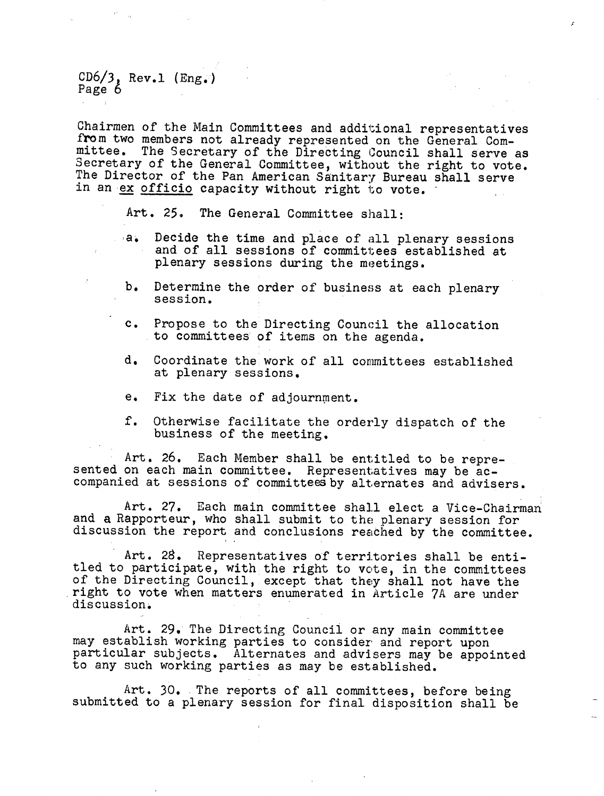$CD6/3$ , Rev.1 (Eng.) Page  $\delta$ 

Chairmen of the Main Committees and additional representatives from two members not already represented on the General Committee. The Secretary of the Directing Council shall serve as Secretary of the General Committee, without the right to vote. The Director of the Pan American Sanitary Bureau shall serve in an ex officio capacity without right to vote.

Art. 25. The General Committee shall:

- \*a. Decide the time and place of all plenary sessions and of all sessions of committees established at plenary sessions during the meetings.
- b. Determine the order of business at each plenary session.
- c. Propose to the Directing Council the allocation to committees of items on the agenda.
- d. Coordinate the work of all committees established at plenary sessions.
- e. Fix the date of adjournment.
- f. Otherwise facilitate the orderly dispatch of the business of the meeting.

Art. 26. Each Member shall be entitled to be repre- sented on each main committee. Representatives may be accompanied at sessions of committees by alternates and advisers.

Art. 27. Each main committee shall elect a Vice-Chairman and a Rapporteur, who shall submit to the plenary session for discussion the report and conclusions reached by the committee.

Art. 28. Representatives of territories shall be entitled to participate, with the right to vote, in the committees of the Directing Council, except that they shall not have the right to vote when matters enumerated in Article 7A are under discussion.

Art. 29. The Directing Council or any main committee may establish working parties to consider and report upon particular subjects. Alternates and advisers may be appointed particular subjects. Alternates and advisers may be appointed<br>to any such working parties as may be established.

Art. 30. The reports of all committees, before being submitted to a plenary session for final disposition shall be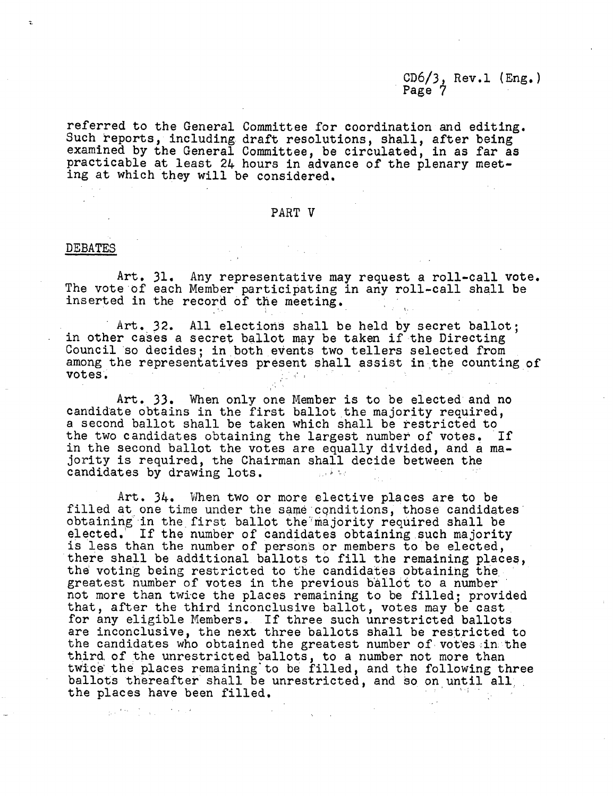CD6/3, Rev.l (Eng.) Page 7

referred to the General Committee for coordination and editing. Such reports, including draft resolutions, shall, after being examined by the General Committee, be circulated, in as far as practicable at least 24 hours in advance of the plenary meeting at which'they will be considered.

#### PART V

#### DEBATES

garage to garage

Art. 31. Any representative may request a roll-call vote. The vote of each Member participating in any roll-call shall be inserted in the record of the meeting.

Art. 32. All elections shall be held by secret ballot; in other cases a secret ballot may be taken if the Directing Council so decides; in both events two tellers selected from among the representatives present shall assist in the counting of votes. votes,

Art. 33. When only one Member is to be elected and no candidate obtains in the first ballot the majority required, a second ballot shall be taken which shall be restricted to the two candidates obtaining the largest number of votes. If the two candidates obtaining the largest number of votes. in the second ballot the votes are equally divided, and a majority is required, the Chairman shall decide between the candidates by drawing lots.  $\mathbb{R}^n$  ,  $\mathbb{R}^n$  ,  $\mathbb{R}^n$ 

Art. 34. When two or more elective places are to be filled at one time under the same conditions, those candidates obtaining in the first ballot the majority required shall be elected.' If the number of candidates obtaining such majority is less than the number of persons or members to be elected, there shall be additional ballots to fill the remaining places, the voting being restricted to the candidates obtaining the greatest number of votes in the previous ballot to a number' not more than twice the places remaining to be filled; provided that, after the third inconclusive ballot, votes may be cast for any eligible Members. If three such unrestricted ballots are inconclusive, the next three ballots shall be restricted to the candidates who obtained the greatest number of votes in the third, of the unrestricted ballots, to a number not more than twice the places remaining'to be filled, and the following three ballots thereafter shall be unrestricted, and so on until all the places have been filled,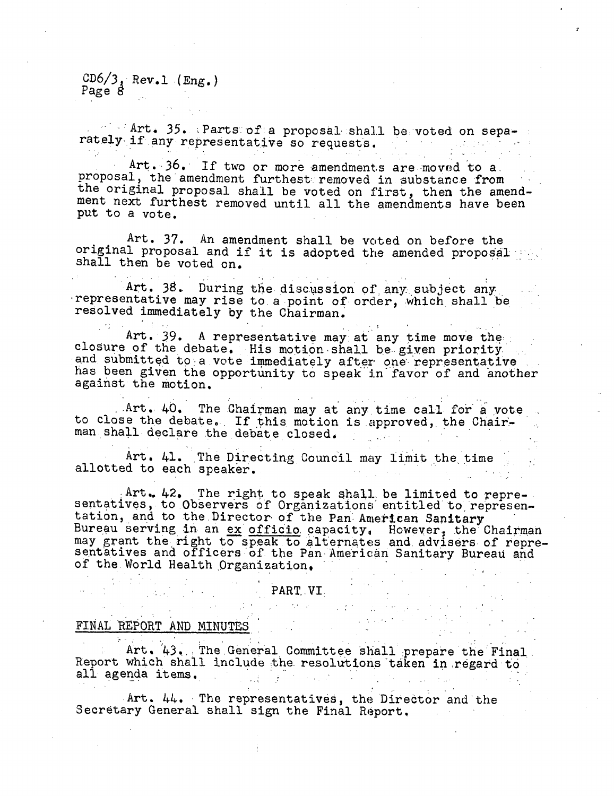$CD6/3$ , Rev.l (Eng.)  $Page 8$ 

Art. 35. Parts of a proposal shall be voted on sepa-<br>rately if any representative so requests.

Art. 36. If two or more amendments are moved to a. proposal, the amendment furthest removed in substance from the original proposal shall be voted on first, then the amendment next furthest removed until all the amendments have been put to a vote.

Art. 37. An amendment shall be voted on before the original proposal and if it is adopted the amended proposal shall then be voted on.

Art. 38. During the discussion of any subject any -representative may rise to a point of order, which shall be resolved immediately by the Chairman.

Art. 39. A representative may at any time move the<br>closure of the debate. His motion shall be given priority<br>and submitted to a vote immediately after one representative<br>has been given the opportunity to speak in favor of

 $\sim 10^{-11}$ 

Art. 40. The Chairman may at any time call for a vote to close the debate. If this motion is approved, the Chairman shall declare the debate closed.  $\mathcal{L}^{\text{max}}_{\text{max}}$  , where  $\mathcal{L}^{\text{max}}_{\text{max}}$ 

Art. 41. The Directing Council may limit the time allotted to each speaker.

Art. 42. The right to speak shall be limited to repre-<br>sentatives, to Observers of Organizations entitled to represen-<br>tation, and to the Director of the Pan American Sanitary Bureau serving in an ex officio capacity. However, the Chairman<br>may grant the right to speak to alternates and advisers of repre-<br>sentatives and officers of the Pan-American Sanitary Bureau and of the World Health Organization,

# PART VI.

# FINAL REPORT AND MINUTES

Art. 43. The General Committee shall prepare the Final. Report which shall include the resolutions taken in regard to all agenda items.

Art. 44. The representatives, the Director and the Secretary General shall sign the Final Report,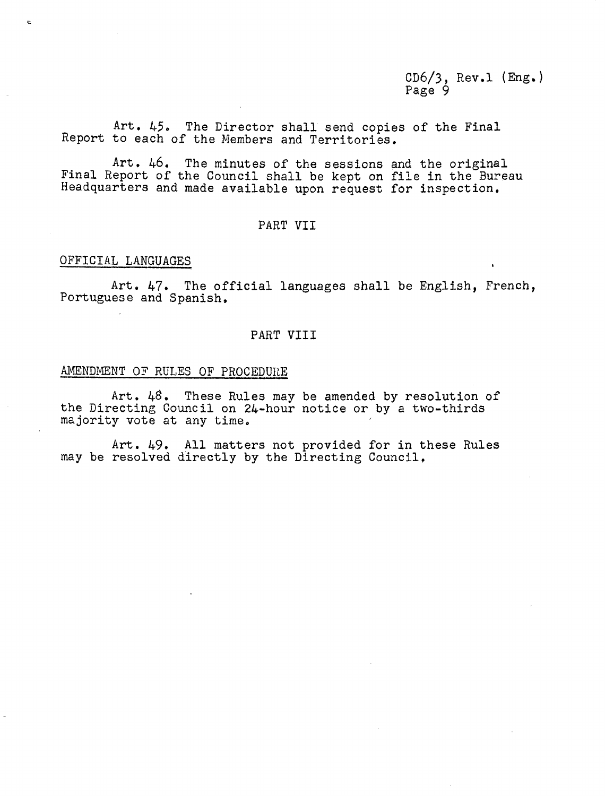CD6/3, Rev.1 (Eng.) Page 9

Art. 45. The Director shall send copies of the Final Report to each of the Members and Territories.

Art. 46. The minutes of the sessions and the original Final Report of the Council shall be kept on file in the Bureau Headquarters and made available upon request for inspection.

#### PART VII

#### OFFICIAL LANGUAGES

 $\overline{a}$ 

Art. 47. The official languages shall be English, French, Portuguese and Spanish.

#### PART VIII

#### AMENDMENT OF RULES OF PROCEDURE

Art. 48. These Rules may be amended by resolution of the Directing Council on 24-hour notice or by a two-thirds majority vote at any time,

Art. 49. All matters not provided for in these Rules may be resolved directly by the Directing Council.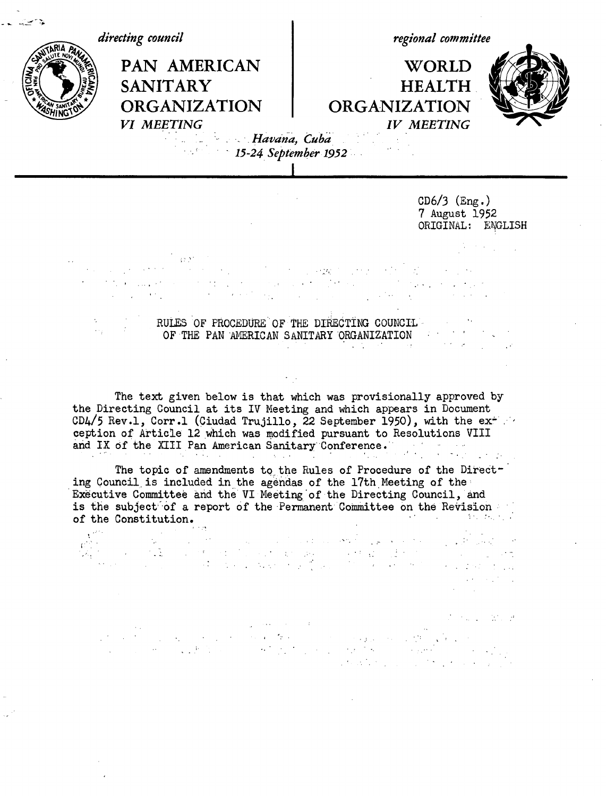*regional committee* **PAN AMERICAN SANITARY ORGANIZATION** *VI MEETING* **WORLD HEALTH ORGANIZATION** *IV MEETING - .* .*Havana, Cuba l - 15-24 September 1952 directing council*

l

 $CD6/3$  (Eng.) 7 August 1952 ORIGINAL: ENGLISH

 $\mathcal{L}^{\mathcal{L}}(\mathcal{L}^{\mathcal{L}}(\mathcal{L}^{\mathcal{L}}(\mathcal{L}^{\mathcal{L}}(\mathcal{L}^{\mathcal{L}}(\mathcal{L}^{\mathcal{L}}(\mathcal{L}^{\mathcal{L}})))$ 

RULES OF PROCEDURE OF THE DIRECTING COUNCIL OF THE PAN AMERICAN SANITARY ORGANIZATION

 $\mathcal{F}_1$  , and  $\mathcal{F}_2$  , and

The text given below is that which was provisionally approved by the Directing Council at its IV Meeting and which appears in Document CD4/5 Rev.1, Corr.1 (Ciudad Trujillo, 22 September 1950), with the ex<sup>1</sup> ception of Article 12 which was modified pursuant to Resolutions VIII and IX of the XIII Pan American Sanitary Conference.

The topic of amendments to the Rules of Procedure of the Directing Council is included in the agendas of the 17th Meeting of then Executive Committee and the VI Meeting'of the Directing Council, and is the subject of a report of the Permanent Committee on the Revision of the Constitution.

 $\sim 10^7$  $\sim$ 

an di kacamatan Kabupatén Grégory.<br>Kacamatan Sumarang Kabupatén Jawa Tanah Pangunang Kabu  $\label{eq:2} \frac{1}{2}\sum_{i=1}^n\sum_{j=1}^n\frac{1}{2}\sum_{j=1}^n\sum_{j=1}^n\frac{1}{2}\sum_{j=1}^n\frac{1}{2}\sum_{j=1}^n\frac{1}{2}\sum_{j=1}^n\frac{1}{2}\sum_{j=1}^n\frac{1}{2}\sum_{j=1}^n\frac{1}{2}\sum_{j=1}^n\frac{1}{2}\sum_{j=1}^n\frac{1}{2}\sum_{j=1}^n\frac{1}{2}\sum_{j=1}^n\frac{1}{2}\sum_{j=1}^n\frac{1}{2}\sum_{j=1}^n$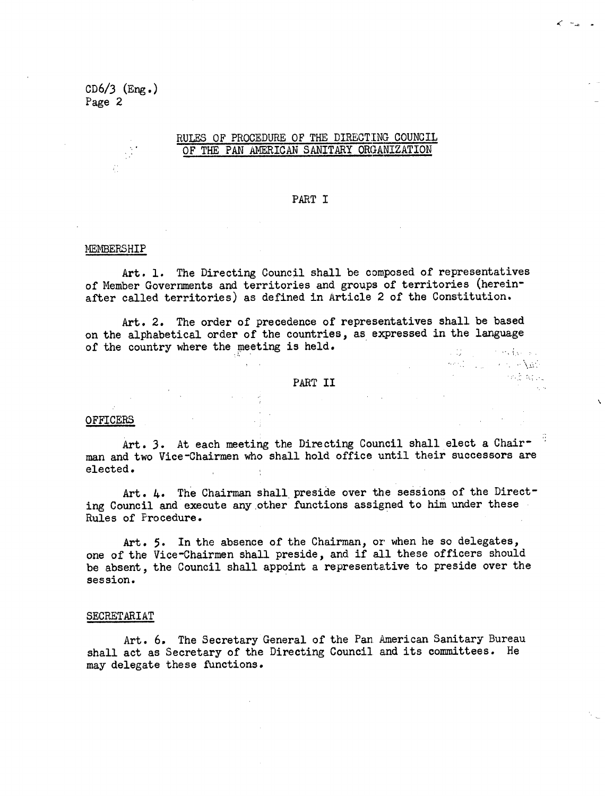#### RULES OF PROCEDURE OF THE DIRECTING COUNCIL OF THE PAN AMERICAN SANITARY ORGANIZATION

#### PART I

#### MEMBERSHIP

Art. 1. The Directing Council shall be composed of representatives of Member Governments and territories and groups of territories (hereinafter called territories) as defined in Article 2 of the Constitution.

Art. 2. The order of precedence of representatives shall be based on the alphabetical order of the countries, as expressed in the language of the country where the meeting is held. Portal Store

#### PART II

 $\label{eq:2} \mathcal{L} \mathcal{L} \mathcal{L} \mathcal{L} = \mathcal{L} \mathcal{L} \mathcal{L} \mathcal{L} \mathcal{L} \mathcal{L} \mathcal{L} \mathcal{L} \mathcal{L} \mathcal{L} \mathcal{L} \mathcal{L} \mathcal{L} \mathcal{L} \mathcal{L} \mathcal{L} \mathcal{L} \mathcal{L} \mathcal{L} \mathcal{L} \mathcal{L} \mathcal{L} \mathcal{L} \mathcal{L} \mathcal{L} \mathcal{L} \mathcal{L} \mathcal{L} \mathcal{L} \mathcal{L} \mathcal{L} \math$ 

regionale.

#### OFFICERS

Art. 3. At each meeting the Directing Council shall elect a Chairman and two Vice-Chairmen who shall hold office until their successors are elected.  $\sim 10^7$  $\sim 3$ 

Art. 4. The Chairman shall preside over the sessions of the Directing Council and execute any other functions assigned to him under these Rules of Procedure.

Art. 5. In the absence of the Chairman, or when he so delegates, one of the Vice-Chairmen shall preside, and if all these officers should be absent, the Council shall appoint a representative to preside over the session.

#### SECRETARIAT

Art. 6. The Secretary General of the Pan American Sanitary Bureau shall act as Secretary of the Directing Council and its committees. He may delegate these functions.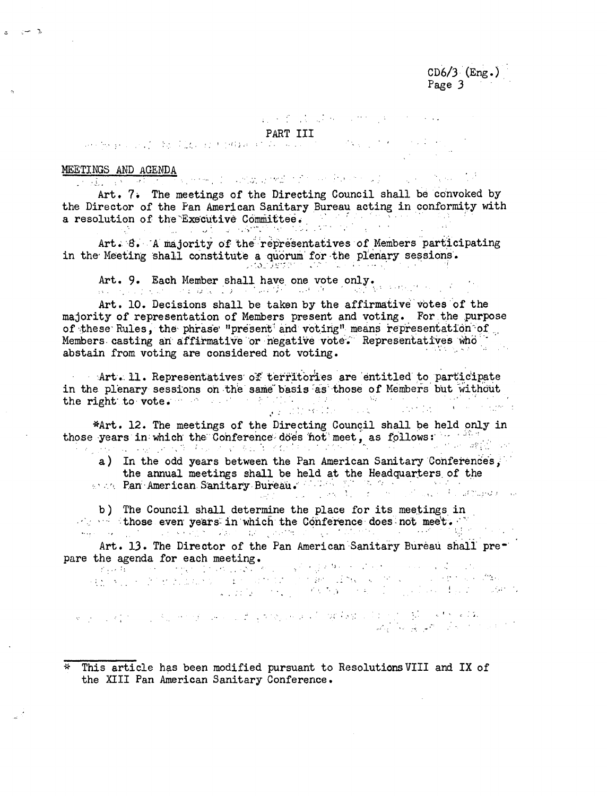**CD6/3 (Eng.)** Page 3

经国家的复数形式 医甲状腺炎 医阿尔伯氏征

 $\label{eq:2} \mathcal{L}_{\mathcal{A}}(\mathcal{L}_{\mathcal{A}}) = \mathcal{L}_{\mathcal{A}}(\mathcal{L}_{\mathcal{A}}) = \mathcal{L}_{\mathcal{A}}(\mathcal{L}_{\mathcal{A}}) = \mathcal{L}_{\mathcal{A}}(\mathcal{L}_{\mathcal{A}})$ 

## $\overline{\text{PART\_III}}$  . The product of the field of the state of the state of the state of the state of the state of the state of the state of the state of the state of the state of the state of the state of the state of the stat

 $\bar{\alpha}$ 

્⊶્ર

MEETINGS AND AGENDA when the property with the second second companion of the

Art. **7.** The meetings of the Directing Council shall be convoked by the Director of the Pan American Sanitary Bureau acting in conformity with a resolution of the Executive Committee.

Art. 8. A majority of the representatives of Members participating in the Meeting shall constitute a quorum for the plenary sessions.

Art. 9. Each Member shall have one vote only.

Art. 10. Decisions shall be taken by the affirmative votes of the majority of representation of Members present and voting. For the purpose of these Rules, the phrase "present' and voting" means representation of Members casting an affirmative or negative vote. Representatives who abstain from voting are considered not voting.

**·**Art. ll. Representatives **of;** territories are entitled' to participate in the plenary sessions on the same basis as those of Members but without the right' to vote. " ' .. **'"** 

\*Art. 12. The meetings of the Directing Council shall be held only in those years in which the Conference does not meet, as follows:  $\frac{1}{2}$ 

a) In the odd years between the Pan American Sanitary 'Conferences,' ' the annual meetings shall be held at the Headquarters of the Pan. American. S'anitary Bur'eau." '

b) The Council shall determine the place for its meetings in  $\mathcal{L}_{\mathcal{L}}$  -in those even years in which the Conference does not meet. '

Art. 13. The Director of the Pan American Sanitary Bureau shall pre-

pare the agenda for each meeting.<br> $\frac{1}{2}$  is the contribution of the contribution of the contribution of the contribution of the contribution of the contribution of the contribution of the contribution of the contributi

ਰ ਸ਼ਾਮਲ ਦੇ ਵਿੱਚ ਸ਼ਾਮਲ ਹੈ। ਇਸ ਦੇ ਪਾਰਟੀ ਮੁਲਾਬਲ ਦੇ ਸ਼ਾਮਲ ਦਾ ਸ਼ਾਮਲ ਦਾ ਇੱਕ ਸ਼ਾਮਲ ਦੇ ਸ਼ਾਮਲ ਦਾ ਸ਼ਾਮਲ ਦਾ ਸ਼ਾਮਲ ਦਾ ਸ਼ਾਮ<br>ਹੋਰ ਸ਼ਾਮਲ ਦੇ ਸ਼ਾਮਲ ਦਾ ਸ਼ਾਮਲ ਦਾ ਸ਼ਾਮਲ

This article has been modified pursuant to Resolutions VIII and IX of the XIII Pan American Sanitary Conference.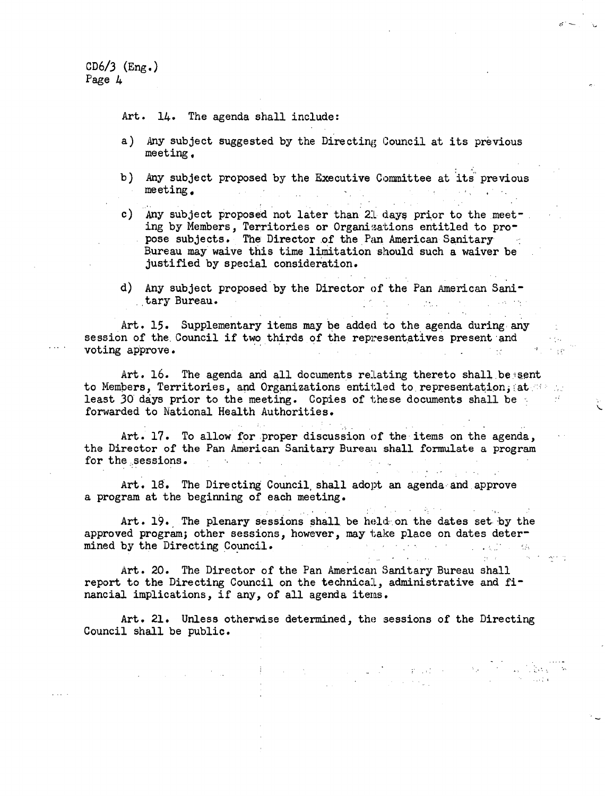Art. 14. The agenda shall include:

- a) Any subject suggested by the Directing Council at its previous meeting,
- b) Any subject proposed by the Executive Committee at its previous meeting.  $\label{eq:2.1} \mathcal{L}^{\mathcal{A}}(\mathcal{A})=\mathcal{L}^{\mathcal{A}}(\mathcal{A})=\mathcal{L}^{\mathcal{A}}(\mathcal{A})=\mathcal{L}^{\mathcal{A}}(\mathcal{A})=\mathcal{L}^{\mathcal{A}}(\mathcal{A})=\mathcal{L}^{\mathcal{A}}(\mathcal{A})=\mathcal{L}^{\mathcal{A}}(\mathcal{A})$  $\mathcal{L}^{\mathcal{L}}(\mathcal{L}^{\mathcal{L}}(\mathcal{L}^{\mathcal{L}}(\mathcal{L}^{\mathcal{L}}(\mathcal{L}^{\mathcal{L}}(\mathcal{L}^{\mathcal{L}}(\mathcal{L}^{\mathcal{L}}(\mathcal{L}^{\mathcal{L}}(\mathcal{L}^{\mathcal{L}}(\mathcal{L}^{\mathcal{L}}(\mathcal{L}^{\mathcal{L}}(\mathcal{L}^{\mathcal{L}}(\mathcal{L}^{\mathcal{L}}(\mathcal{L}^{\mathcal{L}}(\mathcal{L}^{\mathcal{L}}(\mathcal{L}^{\mathcal{L}}(\mathcal{L}^{\mathcal{L$
- c) Any subject proposed not later than 21 days prior to the meeting by Members, Territories or Organizations entitled to propose subjects. The Director of the Pan American Sanitary Bureau may waive this time limitation should such a waiver be justified by special consideration.
- d) Any subject proposed by the Director of the Pan American Sanitary Bureau. The control of the control of the control of the control of the control of the control of the control of the control of the control of the control of the control of the control of the control of the control of the control

 $\sim$  10  $\pm$  10  $\pm$ 

 $\mathcal{F}_1 \rightarrow \mathcal{F}_2$ 

and the second complete state of the

 $\mathcal{L}(\mathcal{A})$  and  $\mathcal{L}(\mathcal{A})$  and  $\mathcal{L}(\mathcal{A})$ 

Art. 15. Supplementary items may be added to the agenda during any session of the Council if two thirds of the representatives present and voting approve.  $\label{eq:2.1} \mathcal{L}_{\mathcal{A}}(\mathcal{A}) = \mathcal{L}_{\mathcal{A}}(\mathcal{A}) = \mathcal{L}_{\mathcal{A}}(\mathcal{A}) = \mathcal{L}_{\mathcal{A}}(\mathcal{A})$ 

Art. 16. The agenda and all documents relating thereto shall be sent to Members, Territories, and Organizations entitled to representation, at  $\sim$ least 30 days prior to the meeting. Copies of these documents shall be forwarded to National Health Authorities.

Art. 17. To allow for proper discussion of the items on the agenda, the Director of the Pan American Sanitary Bureau shall formulate a program for the sessions.

Art. 18. The Directing Council, shall adopt an agenda and approve a program at the beginning of each meeting.

Art. 19. The plenary sessions shall be held on the dates set by the approved program; other sessions, however, may take place on dates deter-<br>mined by the Directing Council. mined by the Directing Council.

Art. 20. The Director of the Pan American Sanitary Bureau shall report to the Directing Council on the technical, administrative and financial implications, if any, of all agenda items.

Art. 21. Unless otherwise determined, the sessions of the Directing Council shall be public.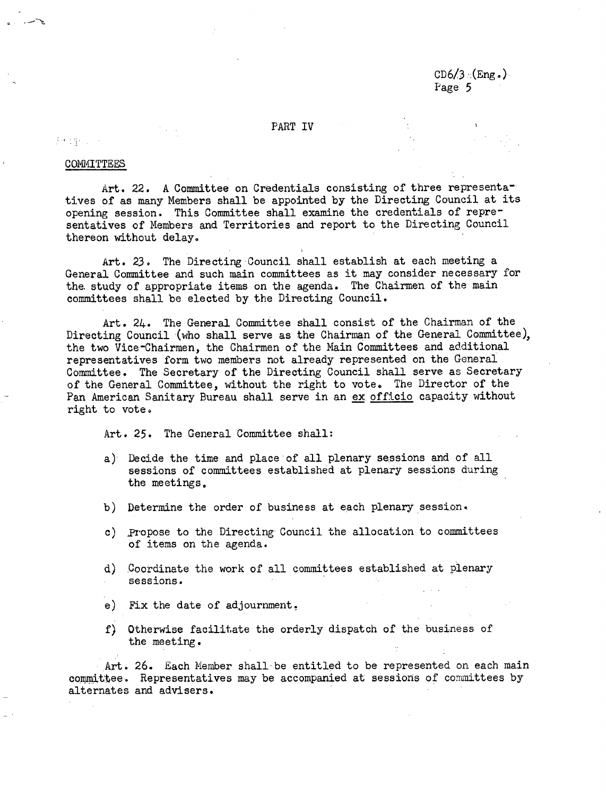#### PART IV

#### 科学院院长

#### COMMITTEES

Art. 22. A Committee on Credentials consisting of three representatives of as many Members shall be appointed by the Directing Council at its opening session. This Committee shall examine the credentials of representatives of Members and Territories and report to the Directing Council thereon without delay.

Art. 23. The Directing Council shall establish at each meeting a General Committee and such main committees as it may consider necessary for the study of appropriate items on the agenda. The Chairmen of the main committees shall be elected by the Directing Council.

Art. 24. The General Committee shall consist of the Chairman of the Directing Council (who shall serve as the Chairman of the General Committee), the two Vice-Chairmen, the Chairmen of the Main Committees and additional representatives form two members not already represented on the General Committee. The Secretary of the Directing Council shall serve as Secretary of the General Committee, without the right to vote. The Director of the Pan American Sanitary Bureau shall serve in an ex officio capacity without right to vote.

Art. 25. The General Committee shall:

- a) Decide the time and place of all plenary sessions and of all sessions of committees established at plenary sessions during the meetings,
- b) Determine the order of business at each plenary session.
- c) Propose to the Directing Council the allocation to committees of items on the agenda.
- d) Coordinate the work of all committees established at plenary sessions.
- e) Fix the date of adjournment.
- f) Otherwise facilitate the orderly dispatch of the business of the meeting.

Art. 26. Each Member shall be entitled to be represented on each main committee. Representatives may be accompanied at sessions of committees by alternates and advisers.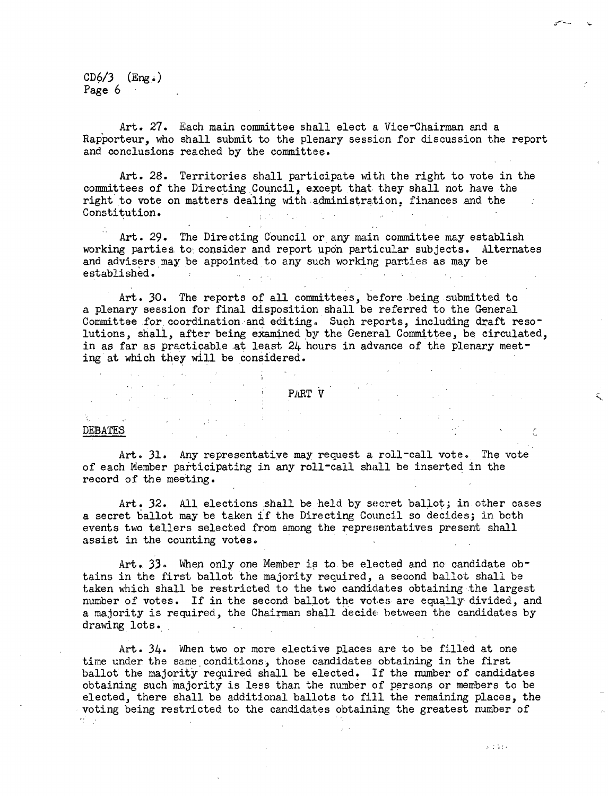Art. 27. Each main committee shall elect a Vice-Chairman and a Rapporteur, who shall submit to the plenary session for discussion the report and conclusions reached by the committee.

Art. 28. Territories shall participate with the right to vote in the committees of the Directing Council, except that they shall not have the right to vote on matters dealing with administration, finances and the Constitution.  $\{ \mathcal{M} \}$  , where  $\mathcal{M}$ 

Art. 29. The Directing Council or any main committee may establish working parties to consider and report upon particular subjects. Alternates and advisers may be appointed to any such working parties as may be established.  $\sim 10^{-1}$  $\mathcal{L}_{\text{max}}$ **Contract Administration**  $\alpha = \alpha_1$  .

Art. 30. The reports of all committees, before being submitted to a plenary session for final disposition shall be referred to the General Committee for coordination and editing. Such reports, including draft resolutions, shall, after being examined by the General Committee, be circulated, in as far as practicable at least 24 hours in advance of the plenary meeting' at which they will be considered.

PART V

 $\mathcal{L}$ 

 $3.2.43%$ 

#### $\mathbf{Q}^{\text{max}}$  ,  $\mathbf{Q}^{\text{max}}$ DEBATES

Art. **31.** Any representative may request a roll-call vote. The vote of each Member participating in any roll-call shall be inserted in the record of the meeting.

Art. 32. All elections shall be held by secret ballot; in other cases a secret ballot may be taken if the Directing Council so decides; in both events two. tellers selected from among the representatives present shall assist in the counting votes.

Art. 33. When only one Member is to be elected and no candidate obtains in the first ballot the majority required, a second ballot shall be taken which shall be restricted to the two candidates obtaining the largest number of votes. If in the second ballot the votes are equally divided, and a majority is required, the Chairman shall decide between the candidates by drawing lots.

Art. 34. When two or more elective places are to be filled at one time under the same conditions, those candidates obtaining in the first ballot the majority required shall be elected. If the number of candidates obtaining such majority is less than the number of persons or members to be elected, there shall be additional ballots to fill the remaining places, the voting being restricted to the candidates obtaining the greatest number ofゲーム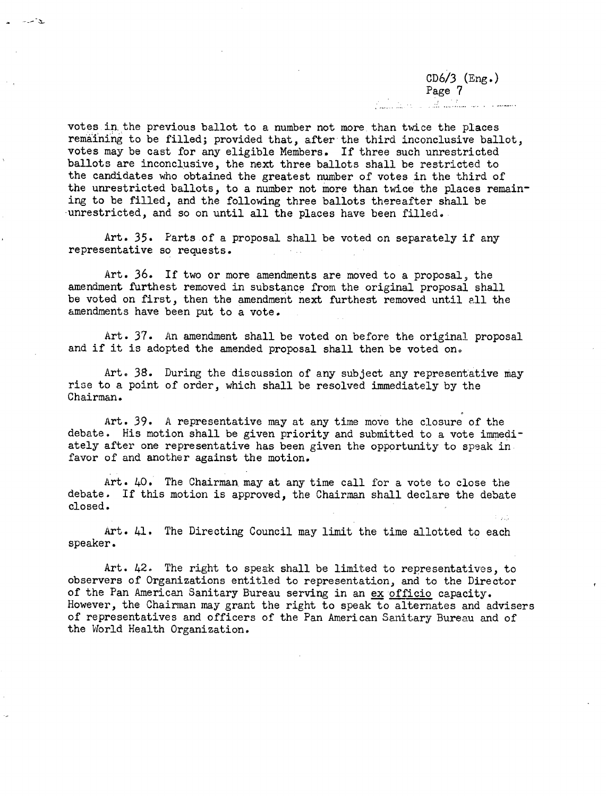<u>Agilia de manascritorias de la construcción de la construcción de la construcción de la construcción de la con</u>

votes in the previous ballot to a number not more than twice the places remaining to be filled; provided that, after the third inconclusive ballot, votes may be cast for any eligible Members. If three such unrestricted ballots are inconclusive, the next three ballots shall be restricted to the candidates who obtained the greatest number of votes in the third of the unrestricted ballots, to a number not more than twice the places remaining to be filled, and the following three ballots thereafter shall be unrestricted, and so on until all the places have been filled.

- -- z-

Art. 35. Parts of a proposal shall be voted on separately if any representative so requests.

Art. 36. If two or more amendments are moved to a proposal, the amendment furthest removed in substance from the original proposal shall be voted on first, then the amendment next furthest removed until all the amendments have been put to a vote.

Art. 37. An amendment shall be voted on before the original proposal and if it is adopted the amended proposal shall then be voted on.

Art. 38. During the discussion of any subject any representative may rise to a point of order, which shall be resolved immediately by the Chairman.

Art. 39. A representative may at any time move the closure of the debate. His motion shall be given priority and submitted to a vote immediately after one representative has been given the opportunity to speak in favor of and another against the motion.

Art. 40. The Chairman may at any time call for a vote to close the debate. If this motion is approved, the Chairman shall declare the debate closed.

Art. 41. The Directing Council may limit the time allotted to each speaker.

Art. 42. The right to speak shall be limited to representatives, to observers of Organizations entitled to representation, and to the Director of the Pan American Sanitary Bureau serving in an ex officio capacity. However, the Chairman may grant the right to speak to alternates and advisers of representatives and officers of the Pan American Sanitary Bureau and of the World Health Organization.